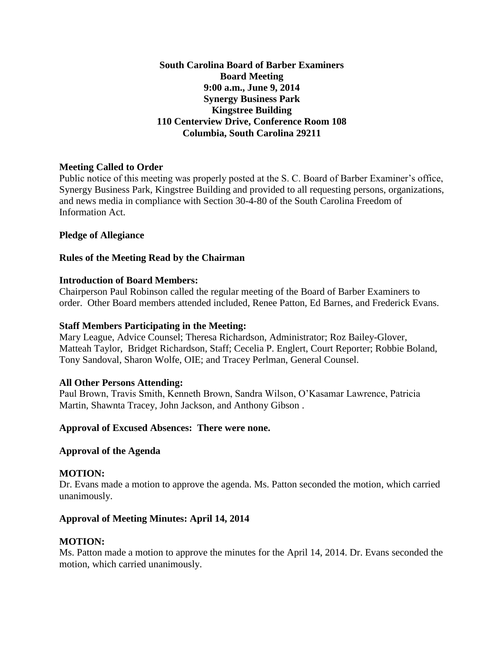**South Carolina Board of Barber Examiners Board Meeting 9:00 a.m., June 9, 2014 Synergy Business Park Kingstree Building 110 Centerview Drive, Conference Room 108 Columbia, South Carolina 29211**

## **Meeting Called to Order**

Public notice of this meeting was properly posted at the S. C. Board of Barber Examiner's office, Synergy Business Park, Kingstree Building and provided to all requesting persons, organizations, and news media in compliance with Section 30-4-80 of the South Carolina Freedom of Information Act.

#### **Pledge of Allegiance**

## **Rules of the Meeting Read by the Chairman**

#### **Introduction of Board Members:**

Chairperson Paul Robinson called the regular meeting of the Board of Barber Examiners to order. Other Board members attended included, Renee Patton, Ed Barnes, and Frederick Evans.

#### **Staff Members Participating in the Meeting:**

Mary League, Advice Counsel; Theresa Richardson, Administrator; Roz Bailey-Glover, Matteah Taylor, Bridget Richardson, Staff; Cecelia P. Englert, Court Reporter; Robbie Boland, Tony Sandoval, Sharon Wolfe, OIE; and Tracey Perlman, General Counsel.

#### **All Other Persons Attending:**

Paul Brown, Travis Smith, Kenneth Brown, Sandra Wilson, O'Kasamar Lawrence, Patricia Martin, Shawnta Tracey, John Jackson, and Anthony Gibson .

# **Approval of Excused Absences: There were none.**

#### **Approval of the Agenda**

#### **MOTION:**

Dr. Evans made a motion to approve the agenda. Ms. Patton seconded the motion, which carried unanimously.

#### **Approval of Meeting Minutes: April 14, 2014**

#### **MOTION:**

Ms. Patton made a motion to approve the minutes for the April 14, 2014. Dr. Evans seconded the motion, which carried unanimously.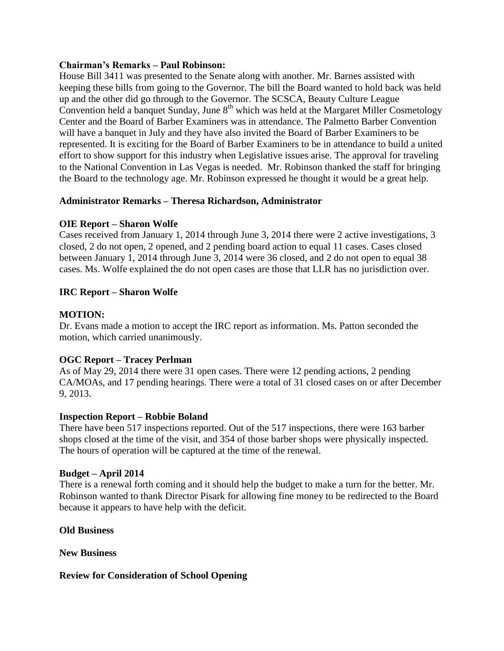#### **Chairman's Remarks – Paul Robinson:**

House Bill 3411 was presented to the Senate along with another. Mr. Barnes assisted with keeping these bills from going to the Governor. The bill the Board wanted to hold back was held up and the other did go through to the Governor. The SCSCA, Beauty Culture League Convention held a banquet Sunday, June  $8<sup>th</sup>$  which was held at the Margaret Miller Cosmetology Center and the Board of Barber Examiners was in attendance. The Palmetto Barber Convention will have a banquet in July and they have also invited the Board of Barber Examiners to be represented. It is exciting for the Board of Barber Examiners to be in attendance to build a united effort to show support for this industry when Legislative issues arise. The approval for traveling to the National Convention in Las Vegas is needed. Mr. Robinson thanked the staff for bringing the Board to the technology age. Mr. Robinson expressed he thought it would be a great help.

# **Administrator Remarks – Theresa Richardson, Administrator**

## **OIE Report – Sharon Wolfe**

Cases received from January 1, 2014 through June 3, 2014 there were 2 active investigations, 3 closed, 2 do not open, 2 opened, and 2 pending board action to equal 11 cases. Cases closed between January 1, 2014 through June 3, 2014 were 36 closed, and 2 do not open to equal 38 cases. Ms. Wolfe explained the do not open cases are those that LLR has no jurisdiction over.

## **IRC Report – Sharon Wolfe**

## **MOTION:**

Dr. Evans made a motion to accept the IRC report as information. Ms. Patton seconded the motion, which carried unanimously.

# **OGC Report – Tracey Perlman**

As of May 29, 2014 there were 31 open cases. There were 12 pending actions, 2 pending CA/MOAs, and 17 pending hearings. There were a total of 31 closed cases on or after December 9, 2013.

#### **Inspection Report – Robbie Boland**

There have been 517 inspections reported. Out of the 517 inspections, there were 163 barber shops closed at the time of the visit, and 354 of those barber shops were physically inspected. The hours of operation will be captured at the time of the renewal.

#### **Budget – April 2014**

There is a renewal forth coming and it should help the budget to make a turn for the better. Mr. Robinson wanted to thank Director Pisark for allowing fine money to be redirected to the Board because it appears to have help with the deficit.

#### **Old Business**

**New Business**

#### **Review for Consideration of School Opening**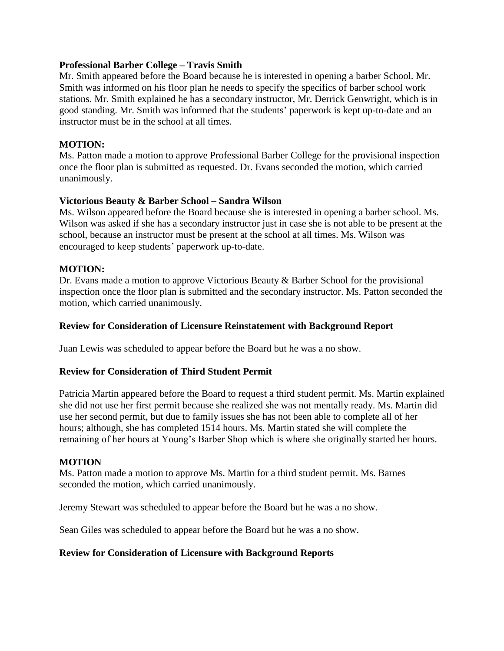#### **Professional Barber College – Travis Smith**

Mr. Smith appeared before the Board because he is interested in opening a barber School. Mr. Smith was informed on his floor plan he needs to specify the specifics of barber school work stations. Mr. Smith explained he has a secondary instructor, Mr. Derrick Genwright, which is in good standing. Mr. Smith was informed that the students' paperwork is kept up-to-date and an instructor must be in the school at all times.

#### **MOTION:**

Ms. Patton made a motion to approve Professional Barber College for the provisional inspection once the floor plan is submitted as requested. Dr. Evans seconded the motion, which carried unanimously.

#### **Victorious Beauty & Barber School – Sandra Wilson**

Ms. Wilson appeared before the Board because she is interested in opening a barber school. Ms. Wilson was asked if she has a secondary instructor just in case she is not able to be present at the school, because an instructor must be present at the school at all times. Ms. Wilson was encouraged to keep students' paperwork up-to-date.

## **MOTION:**

Dr. Evans made a motion to approve Victorious Beauty & Barber School for the provisional inspection once the floor plan is submitted and the secondary instructor. Ms. Patton seconded the motion, which carried unanimously.

#### **Review for Consideration of Licensure Reinstatement with Background Report**

Juan Lewis was scheduled to appear before the Board but he was a no show.

#### **Review for Consideration of Third Student Permit**

Patricia Martin appeared before the Board to request a third student permit. Ms. Martin explained she did not use her first permit because she realized she was not mentally ready. Ms. Martin did use her second permit, but due to family issues she has not been able to complete all of her hours; although, she has completed 1514 hours. Ms. Martin stated she will complete the remaining of her hours at Young's Barber Shop which is where she originally started her hours.

#### **MOTION**

Ms. Patton made a motion to approve Ms. Martin for a third student permit. Ms. Barnes seconded the motion, which carried unanimously.

Jeremy Stewart was scheduled to appear before the Board but he was a no show.

Sean Giles was scheduled to appear before the Board but he was a no show.

#### **Review for Consideration of Licensure with Background Reports**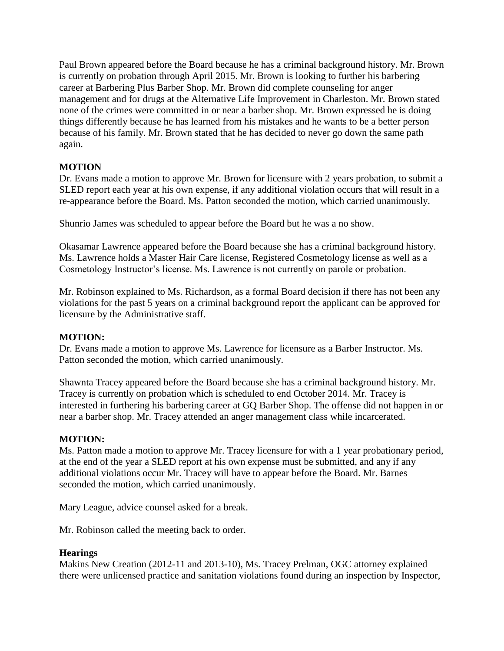Paul Brown appeared before the Board because he has a criminal background history. Mr. Brown is currently on probation through April 2015. Mr. Brown is looking to further his barbering career at Barbering Plus Barber Shop. Mr. Brown did complete counseling for anger management and for drugs at the Alternative Life Improvement in Charleston. Mr. Brown stated none of the crimes were committed in or near a barber shop. Mr. Brown expressed he is doing things differently because he has learned from his mistakes and he wants to be a better person because of his family. Mr. Brown stated that he has decided to never go down the same path again.

# **MOTION**

Dr. Evans made a motion to approve Mr. Brown for licensure with 2 years probation, to submit a SLED report each year at his own expense, if any additional violation occurs that will result in a re-appearance before the Board. Ms. Patton seconded the motion, which carried unanimously.

Shunrio James was scheduled to appear before the Board but he was a no show.

Okasamar Lawrence appeared before the Board because she has a criminal background history. Ms. Lawrence holds a Master Hair Care license, Registered Cosmetology license as well as a Cosmetology Instructor's license. Ms. Lawrence is not currently on parole or probation.

Mr. Robinson explained to Ms. Richardson, as a formal Board decision if there has not been any violations for the past 5 years on a criminal background report the applicant can be approved for licensure by the Administrative staff.

#### **MOTION:**

Dr. Evans made a motion to approve Ms. Lawrence for licensure as a Barber Instructor. Ms. Patton seconded the motion, which carried unanimously.

Shawnta Tracey appeared before the Board because she has a criminal background history. Mr. Tracey is currently on probation which is scheduled to end October 2014. Mr. Tracey is interested in furthering his barbering career at GQ Barber Shop. The offense did not happen in or near a barber shop. Mr. Tracey attended an anger management class while incarcerated.

#### **MOTION:**

Ms. Patton made a motion to approve Mr. Tracey licensure for with a 1 year probationary period, at the end of the year a SLED report at his own expense must be submitted, and any if any additional violations occur Mr. Tracey will have to appear before the Board. Mr. Barnes seconded the motion, which carried unanimously.

Mary League, advice counsel asked for a break.

Mr. Robinson called the meeting back to order.

#### **Hearings**

Makins New Creation (2012-11 and 2013-10), Ms. Tracey Prelman, OGC attorney explained there were unlicensed practice and sanitation violations found during an inspection by Inspector,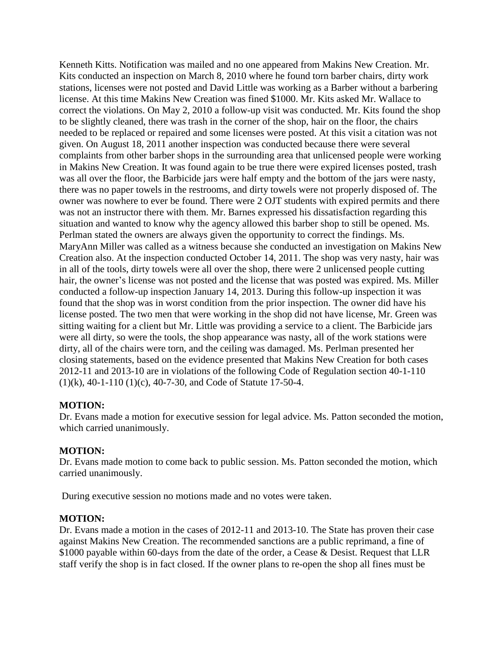Kenneth Kitts. Notification was mailed and no one appeared from Makins New Creation. Mr. Kits conducted an inspection on March 8, 2010 where he found torn barber chairs, dirty work stations, licenses were not posted and David Little was working as a Barber without a barbering license. At this time Makins New Creation was fined \$1000. Mr. Kits asked Mr. Wallace to correct the violations. On May 2, 2010 a follow-up visit was conducted. Mr. Kits found the shop to be slightly cleaned, there was trash in the corner of the shop, hair on the floor, the chairs needed to be replaced or repaired and some licenses were posted. At this visit a citation was not given. On August 18, 2011 another inspection was conducted because there were several complaints from other barber shops in the surrounding area that unlicensed people were working in Makins New Creation. It was found again to be true there were expired licenses posted, trash was all over the floor, the Barbicide jars were half empty and the bottom of the jars were nasty, there was no paper towels in the restrooms, and dirty towels were not properly disposed of. The owner was nowhere to ever be found. There were 2 OJT students with expired permits and there was not an instructor there with them. Mr. Barnes expressed his dissatisfaction regarding this situation and wanted to know why the agency allowed this barber shop to still be opened. Ms. Perlman stated the owners are always given the opportunity to correct the findings. Ms. MaryAnn Miller was called as a witness because she conducted an investigation on Makins New Creation also. At the inspection conducted October 14, 2011. The shop was very nasty, hair was in all of the tools, dirty towels were all over the shop, there were 2 unlicensed people cutting hair, the owner's license was not posted and the license that was posted was expired. Ms. Miller conducted a follow-up inspection January 14, 2013. During this follow-up inspection it was found that the shop was in worst condition from the prior inspection. The owner did have his license posted. The two men that were working in the shop did not have license, Mr. Green was sitting waiting for a client but Mr. Little was providing a service to a client. The Barbicide jars were all dirty, so were the tools, the shop appearance was nasty, all of the work stations were dirty, all of the chairs were torn, and the ceiling was damaged. Ms. Perlman presented her closing statements, based on the evidence presented that Makins New Creation for both cases 2012-11 and 2013-10 are in violations of the following Code of Regulation section 40-1-110 (1)(k), 40-1-110 (1)(c), 40-7-30, and Code of Statute 17-50-4.

#### **MOTION:**

Dr. Evans made a motion for executive session for legal advice. Ms. Patton seconded the motion, which carried unanimously.

#### **MOTION:**

Dr. Evans made motion to come back to public session. Ms. Patton seconded the motion, which carried unanimously.

During executive session no motions made and no votes were taken.

#### **MOTION:**

Dr. Evans made a motion in the cases of 2012-11 and 2013-10. The State has proven their case against Makins New Creation. The recommended sanctions are a public reprimand, a fine of \$1000 payable within 60-days from the date of the order, a Cease & Desist. Request that LLR staff verify the shop is in fact closed. If the owner plans to re-open the shop all fines must be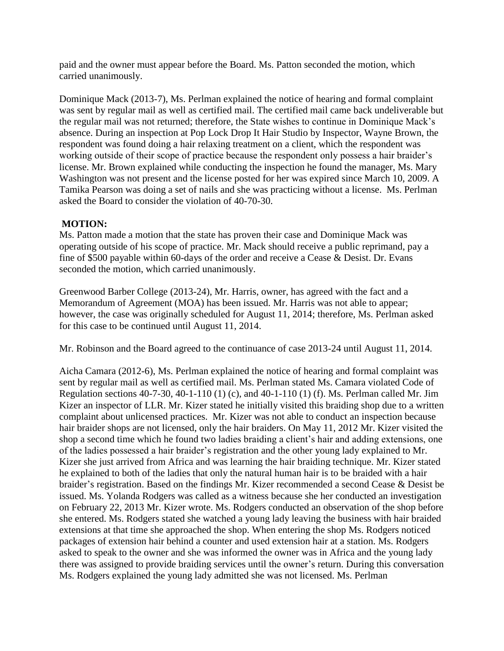paid and the owner must appear before the Board. Ms. Patton seconded the motion, which carried unanimously.

Dominique Mack (2013-7), Ms. Perlman explained the notice of hearing and formal complaint was sent by regular mail as well as certified mail. The certified mail came back undeliverable but the regular mail was not returned; therefore, the State wishes to continue in Dominique Mack's absence. During an inspection at Pop Lock Drop It Hair Studio by Inspector, Wayne Brown, the respondent was found doing a hair relaxing treatment on a client, which the respondent was working outside of their scope of practice because the respondent only possess a hair braider's license. Mr. Brown explained while conducting the inspection he found the manager, Ms. Mary Washington was not present and the license posted for her was expired since March 10, 2009. A Tamika Pearson was doing a set of nails and she was practicing without a license. Ms. Perlman asked the Board to consider the violation of 40-70-30.

# **MOTION:**

Ms. Patton made a motion that the state has proven their case and Dominique Mack was operating outside of his scope of practice. Mr. Mack should receive a public reprimand, pay a fine of \$500 payable within 60-days of the order and receive a Cease & Desist. Dr. Evans seconded the motion, which carried unanimously.

Greenwood Barber College (2013-24), Mr. Harris, owner, has agreed with the fact and a Memorandum of Agreement (MOA) has been issued. Mr. Harris was not able to appear; however, the case was originally scheduled for August 11, 2014; therefore, Ms. Perlman asked for this case to be continued until August 11, 2014.

Mr. Robinson and the Board agreed to the continuance of case 2013-24 until August 11, 2014.

Aicha Camara (2012-6), Ms. Perlman explained the notice of hearing and formal complaint was sent by regular mail as well as certified mail. Ms. Perlman stated Ms. Camara violated Code of Regulation sections 40-7-30, 40-1-110 (1) (c), and 40-1-110 (1) (f). Ms. Perlman called Mr. Jim Kizer an inspector of LLR. Mr. Kizer stated he initially visited this braiding shop due to a written complaint about unlicensed practices. Mr. Kizer was not able to conduct an inspection because hair braider shops are not licensed, only the hair braiders. On May 11, 2012 Mr. Kizer visited the shop a second time which he found two ladies braiding a client's hair and adding extensions, one of the ladies possessed a hair braider's registration and the other young lady explained to Mr. Kizer she just arrived from Africa and was learning the hair braiding technique. Mr. Kizer stated he explained to both of the ladies that only the natural human hair is to be braided with a hair braider's registration. Based on the findings Mr. Kizer recommended a second Cease & Desist be issued. Ms. Yolanda Rodgers was called as a witness because she her conducted an investigation on February 22, 2013 Mr. Kizer wrote. Ms. Rodgers conducted an observation of the shop before she entered. Ms. Rodgers stated she watched a young lady leaving the business with hair braided extensions at that time she approached the shop. When entering the shop Ms. Rodgers noticed packages of extension hair behind a counter and used extension hair at a station. Ms. Rodgers asked to speak to the owner and she was informed the owner was in Africa and the young lady there was assigned to provide braiding services until the owner's return. During this conversation Ms. Rodgers explained the young lady admitted she was not licensed. Ms. Perlman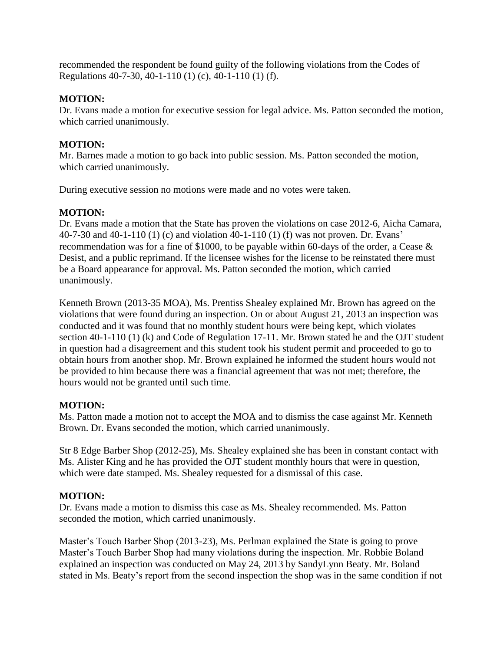recommended the respondent be found guilty of the following violations from the Codes of Regulations 40-7-30, 40-1-110 (1) (c), 40-1-110 (1) (f).

# **MOTION:**

Dr. Evans made a motion for executive session for legal advice. Ms. Patton seconded the motion, which carried unanimously.

# **MOTION:**

Mr. Barnes made a motion to go back into public session. Ms. Patton seconded the motion, which carried unanimously.

During executive session no motions were made and no votes were taken.

# **MOTION:**

Dr. Evans made a motion that the State has proven the violations on case 2012-6, Aicha Camara, 40-7-30 and 40-1-110 (1) (c) and violation 40-1-110 (1) (f) was not proven. Dr. Evans' recommendation was for a fine of \$1000, to be payable within 60-days of the order, a Cease & Desist, and a public reprimand. If the licensee wishes for the license to be reinstated there must be a Board appearance for approval. Ms. Patton seconded the motion, which carried unanimously.

Kenneth Brown (2013-35 MOA), Ms. Prentiss Shealey explained Mr. Brown has agreed on the violations that were found during an inspection. On or about August 21, 2013 an inspection was conducted and it was found that no monthly student hours were being kept, which violates section 40-1-110 (1) (k) and Code of Regulation 17-11. Mr. Brown stated he and the OJT student in question had a disagreement and this student took his student permit and proceeded to go to obtain hours from another shop. Mr. Brown explained he informed the student hours would not be provided to him because there was a financial agreement that was not met; therefore, the hours would not be granted until such time.

# **MOTION:**

Ms. Patton made a motion not to accept the MOA and to dismiss the case against Mr. Kenneth Brown. Dr. Evans seconded the motion, which carried unanimously.

Str 8 Edge Barber Shop (2012-25), Ms. Shealey explained she has been in constant contact with Ms. Alister King and he has provided the OJT student monthly hours that were in question, which were date stamped. Ms. Shealey requested for a dismissal of this case.

# **MOTION:**

Dr. Evans made a motion to dismiss this case as Ms. Shealey recommended. Ms. Patton seconded the motion, which carried unanimously.

Master's Touch Barber Shop (2013-23), Ms. Perlman explained the State is going to prove Master's Touch Barber Shop had many violations during the inspection. Mr. Robbie Boland explained an inspection was conducted on May 24, 2013 by SandyLynn Beaty. Mr. Boland stated in Ms. Beaty's report from the second inspection the shop was in the same condition if not